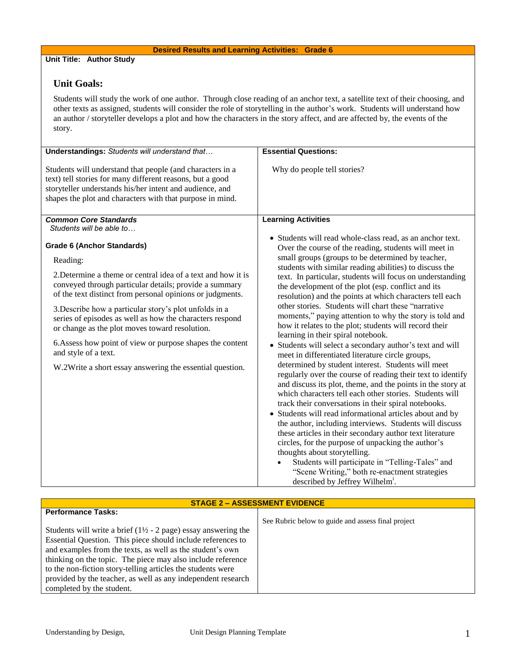## **Desired Results and Learning Activities: Grade 6**

## **Unit Title: Author Study**

# **Unit Goals:**

Students will study the work of one author. Through close reading of an anchor text, a satellite text of their choosing, and other texts as assigned, students will consider the role of storytelling in the author's work. Students will understand how an author / storyteller develops a plot and how the characters in the story affect, and are affected by, the events of the story.

| Understandings: Students will understand that                                                                                                                                                                                                   | <b>Essential Questions:</b>                                                                                                                                                                                                                                                                                                                                                                                                                                                                                                                                                                                                                                                                                                    |  |  |  |
|-------------------------------------------------------------------------------------------------------------------------------------------------------------------------------------------------------------------------------------------------|--------------------------------------------------------------------------------------------------------------------------------------------------------------------------------------------------------------------------------------------------------------------------------------------------------------------------------------------------------------------------------------------------------------------------------------------------------------------------------------------------------------------------------------------------------------------------------------------------------------------------------------------------------------------------------------------------------------------------------|--|--|--|
| Students will understand that people (and characters in a<br>text) tell stories for many different reasons, but a good<br>storyteller understands his/her intent and audience, and<br>shapes the plot and characters with that purpose in mind. | Why do people tell stories?                                                                                                                                                                                                                                                                                                                                                                                                                                                                                                                                                                                                                                                                                                    |  |  |  |
| <b>Common Core Standards</b>                                                                                                                                                                                                                    | <b>Learning Activities</b>                                                                                                                                                                                                                                                                                                                                                                                                                                                                                                                                                                                                                                                                                                     |  |  |  |
| Students will be able to                                                                                                                                                                                                                        |                                                                                                                                                                                                                                                                                                                                                                                                                                                                                                                                                                                                                                                                                                                                |  |  |  |
| <b>Grade 6 (Anchor Standards)</b><br>Reading:                                                                                                                                                                                                   | • Students will read whole-class read, as an anchor text.<br>Over the course of the reading, students will meet in<br>small groups (groups to be determined by teacher,                                                                                                                                                                                                                                                                                                                                                                                                                                                                                                                                                        |  |  |  |
|                                                                                                                                                                                                                                                 | students with similar reading abilities) to discuss the                                                                                                                                                                                                                                                                                                                                                                                                                                                                                                                                                                                                                                                                        |  |  |  |
| 2. Determine a theme or central idea of a text and how it is<br>conveyed through particular details; provide a summary<br>of the text distinct from personal opinions or judgments.                                                             | text. In particular, students will focus on understanding<br>the development of the plot (esp. conflict and its<br>resolution) and the points at which characters tell each                                                                                                                                                                                                                                                                                                                                                                                                                                                                                                                                                    |  |  |  |
| 3. Describe how a particular story's plot unfolds in a<br>series of episodes as well as how the characters respond<br>or change as the plot moves toward resolution.                                                                            | other stories. Students will chart these "narrative<br>moments," paying attention to why the story is told and<br>how it relates to the plot; students will record their<br>learning in their spiral notebook.                                                                                                                                                                                                                                                                                                                                                                                                                                                                                                                 |  |  |  |
| 6. Assess how point of view or purpose shapes the content<br>and style of a text.                                                                                                                                                               | • Students will select a secondary author's text and will<br>meet in differentiated literature circle groups,                                                                                                                                                                                                                                                                                                                                                                                                                                                                                                                                                                                                                  |  |  |  |
| W.2Write a short essay answering the essential question.                                                                                                                                                                                        | determined by student interest. Students will meet<br>regularly over the course of reading their text to identify<br>and discuss its plot, theme, and the points in the story at<br>which characters tell each other stories. Students will<br>track their conversations in their spiral notebooks.<br>Students will read informational articles about and by<br>the author, including interviews. Students will discuss<br>these articles in their secondary author text literature<br>circles, for the purpose of unpacking the author's<br>thoughts about storytelling.<br>Students will participate in "Telling-Tales" and<br>"Scene Writing," both re-enactment strategies<br>described by Jeffrey Wilhelm <sup>1</sup> . |  |  |  |
|                                                                                                                                                                                                                                                 |                                                                                                                                                                                                                                                                                                                                                                                                                                                                                                                                                                                                                                                                                                                                |  |  |  |
| <b>STAGE 2 - ASSESSMENT EVIDENCE</b>                                                                                                                                                                                                            |                                                                                                                                                                                                                                                                                                                                                                                                                                                                                                                                                                                                                                                                                                                                |  |  |  |
| <b>Performance Tasks:</b>                                                                                                                                                                                                                       | See Rubric below to guide and assess final project                                                                                                                                                                                                                                                                                                                                                                                                                                                                                                                                                                                                                                                                             |  |  |  |
|                                                                                                                                                                                                                                                 |                                                                                                                                                                                                                                                                                                                                                                                                                                                                                                                                                                                                                                                                                                                                |  |  |  |

Students will write a brief  $(1\frac{1}{2} - 2$  page) essay answering the Essential Question. This piece should include references to and examples from the texts, as well as the student's own thinking on the topic. The piece may also include reference to the non-fiction story-telling articles the students were provided by the teacher, as well as any independent research completed by the student.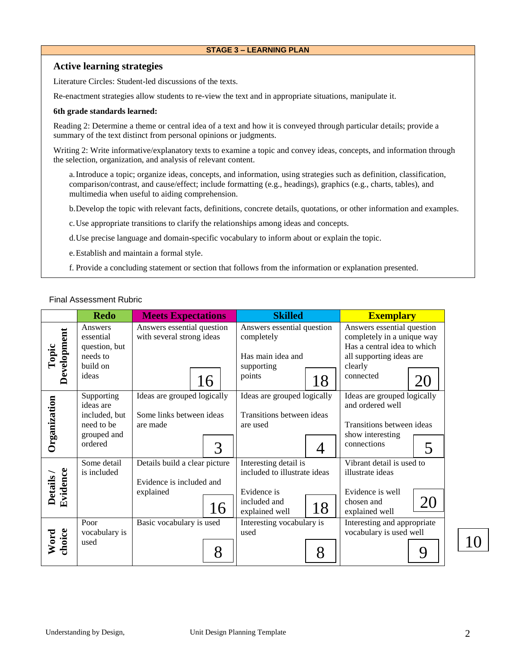## **STAGE 3 – LEARNING PLAN**

# **Active learning strategies**

Literature Circles: Student-led discussions of the texts.

Re-enactment strategies allow students to re-view the text and in appropriate situations, manipulate it.

#### **6th grade standards learned:**

Reading 2: Determine a theme or central idea of a text and how it is conveyed through particular details; provide a summary of the text distinct from personal opinions or judgments.

Writing 2: Write informative/explanatory texts to examine a topic and convey ideas, concepts, and information through the selection, organization, and analysis of relevant content.

a.Introduce a topic; organize ideas, concepts, and information, using strategies such as definition, classification, comparison/contrast, and cause/effect; include formatting (e.g., headings), graphics (e.g., charts, tables), and multimedia when useful to aiding comprehension.

b.Develop the topic with relevant facts, definitions, concrete details, quotations, or other information and examples.

c.Use appropriate transitions to clarify the relationships among ideas and concepts.

d.Use precise language and domain-specific vocabulary to inform about or explain the topic.

e.Establish and maintain a formal style.

f. Provide a concluding statement or section that follows from the information or explanation presented.

#### Final Assessment Rubric

|                            | <b>Redo</b>                 | <b>Meets Expectations</b>             | <b>Skilled</b>                        | <b>Exemplary</b>                                          |
|----------------------------|-----------------------------|---------------------------------------|---------------------------------------|-----------------------------------------------------------|
|                            | Answers                     | Answers essential question            | Answers essential question            | Answers essential question                                |
|                            | essential<br>question, but  | with several strong ideas             | completely                            | completely in a unique way<br>Has a central idea to which |
| Topic                      | needs to                    |                                       | Has main idea and                     | all supporting ideas are                                  |
|                            | build on                    |                                       | supporting                            | clearly                                                   |
| Development                | ideas                       | 16                                    | points<br>18                          | connected                                                 |
|                            | Supporting                  | Ideas are grouped logically           | Ideas are grouped logically           | Ideas are grouped logically                               |
|                            | ideas are                   |                                       |                                       | and ordered well                                          |
|                            | included, but<br>need to be | Some links between ideas<br>are made  | Transitions between ideas<br>are used | Transitions between ideas                                 |
|                            | grouped and                 |                                       |                                       | show interesting                                          |
| Organization               | ordered                     | 3                                     |                                       | connections<br>5                                          |
|                            | Some detail                 | Details build a clear picture         | Interesting detail is                 | Vibrant detail is used to                                 |
|                            | is included                 |                                       | included to illustrate ideas          | illustrate ideas                                          |
|                            |                             | Evidence is included and<br>explained | Evidence is                           | Evidence is well                                          |
| Evidence<br><b>Details</b> |                             |                                       | included and                          | 20<br>chosen and                                          |
|                            |                             | 16                                    | 18<br>explained well                  | explained well                                            |
|                            | Poor                        | Basic vocabulary is used              | Interesting vocabulary is             | Interesting and appropriate                               |
|                            | vocabulary is               |                                       | used                                  | vocabulary is used well                                   |
| Word<br>choice             | used                        | 8                                     | 8                                     | Q                                                         |